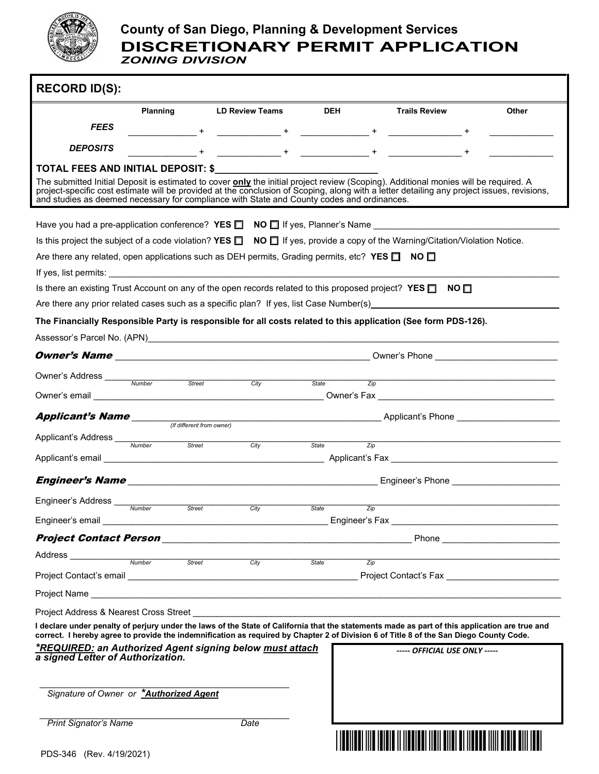

## **County of San Diego, Planning & Development Services DISCRETIONARY PERMIT APPLICATION** *ZONING DIVISION*

| <b>RECORD ID(S):</b>                                                                                                                                                                                                                                                                                                                                                                                                                                                        |                                                                                                          |                                                                             |                                       |                                                                                                                |       |  |  |  |  |
|-----------------------------------------------------------------------------------------------------------------------------------------------------------------------------------------------------------------------------------------------------------------------------------------------------------------------------------------------------------------------------------------------------------------------------------------------------------------------------|----------------------------------------------------------------------------------------------------------|-----------------------------------------------------------------------------|---------------------------------------|----------------------------------------------------------------------------------------------------------------|-------|--|--|--|--|
|                                                                                                                                                                                                                                                                                                                                                                                                                                                                             | Planning                                                                                                 | <b>LD Review Teams</b>                                                      | <b>DEH</b>                            | <b>Trails Review</b>                                                                                           | Other |  |  |  |  |
| <b>FEES</b>                                                                                                                                                                                                                                                                                                                                                                                                                                                                 |                                                                                                          |                                                                             |                                       |                                                                                                                |       |  |  |  |  |
| <b>DEPOSITS</b>                                                                                                                                                                                                                                                                                                                                                                                                                                                             |                                                                                                          |                                                                             |                                       |                                                                                                                |       |  |  |  |  |
| The submitted Initial Deposit is estimated to cover only the initial project review (Scoping). Additional monies will be required. A<br>project-specific cost estimate will be provided at the conclusion of Scoping, along with a letter detailing any project issues, revisions,<br>and studies as deemed necessary for compliance with State and County codes and ordinances.                                                                                            |                                                                                                          |                                                                             |                                       |                                                                                                                |       |  |  |  |  |
|                                                                                                                                                                                                                                                                                                                                                                                                                                                                             |                                                                                                          |                                                                             |                                       |                                                                                                                |       |  |  |  |  |
| Is this project the subject of a code violation? YES $\Box$ NO $\Box$ If yes, provide a copy of the Warning/Citation/Violation Notice.                                                                                                                                                                                                                                                                                                                                      |                                                                                                          |                                                                             |                                       |                                                                                                                |       |  |  |  |  |
|                                                                                                                                                                                                                                                                                                                                                                                                                                                                             | Are there any related, open applications such as DEH permits, Grading permits, etc? YES $\Box$ NO $\Box$ |                                                                             |                                       |                                                                                                                |       |  |  |  |  |
|                                                                                                                                                                                                                                                                                                                                                                                                                                                                             |                                                                                                          |                                                                             |                                       |                                                                                                                |       |  |  |  |  |
| Is there an existing Trust Account on any of the open records related to this proposed project? YES $\Box$ NO $\Box$                                                                                                                                                                                                                                                                                                                                                        |                                                                                                          |                                                                             |                                       |                                                                                                                |       |  |  |  |  |
|                                                                                                                                                                                                                                                                                                                                                                                                                                                                             |                                                                                                          |                                                                             |                                       | Are there any prior related cases such as a specific plan? If yes, list Case Number(s) example and the matter  |       |  |  |  |  |
|                                                                                                                                                                                                                                                                                                                                                                                                                                                                             |                                                                                                          |                                                                             |                                       | The Financially Responsible Party is responsible for all costs related to this application (See form PDS-126). |       |  |  |  |  |
|                                                                                                                                                                                                                                                                                                                                                                                                                                                                             |                                                                                                          |                                                                             |                                       |                                                                                                                |       |  |  |  |  |
|                                                                                                                                                                                                                                                                                                                                                                                                                                                                             |                                                                                                          |                                                                             |                                       |                                                                                                                |       |  |  |  |  |
|                                                                                                                                                                                                                                                                                                                                                                                                                                                                             |                                                                                                          | Street                                                                      | State                                 |                                                                                                                |       |  |  |  |  |
|                                                                                                                                                                                                                                                                                                                                                                                                                                                                             |                                                                                                          | Citv                                                                        | $\overline{Z}$ ip                     |                                                                                                                |       |  |  |  |  |
|                                                                                                                                                                                                                                                                                                                                                                                                                                                                             |                                                                                                          |                                                                             |                                       | Applicant's Phone <b>Access 19 Applicant</b> Phone <b>Access 19 Applicant</b> 2014                             |       |  |  |  |  |
|                                                                                                                                                                                                                                                                                                                                                                                                                                                                             | Street                                                                                                   | City                                                                        | $\overline{Zip}$<br>State             |                                                                                                                |       |  |  |  |  |
|                                                                                                                                                                                                                                                                                                                                                                                                                                                                             |                                                                                                          |                                                                             |                                       |                                                                                                                |       |  |  |  |  |
|                                                                                                                                                                                                                                                                                                                                                                                                                                                                             |                                                                                                          |                                                                             |                                       |                                                                                                                |       |  |  |  |  |
| Engineer's Address                                                                                                                                                                                                                                                                                                                                                                                                                                                          |                                                                                                          |                                                                             |                                       |                                                                                                                |       |  |  |  |  |
| Engineer's email                                                                                                                                                                                                                                                                                                                                                                                                                                                            | Number<br><b>Street</b>                                                                                  | City<br><u> 1989 - Johann John Stone, mars and deutscher Stone († 1989)</u> | <b>State</b><br>Zip<br>Engineer's Fax |                                                                                                                |       |  |  |  |  |
|                                                                                                                                                                                                                                                                                                                                                                                                                                                                             |                                                                                                          |                                                                             |                                       |                                                                                                                |       |  |  |  |  |
| Address <b>Address Address Address Address Address Address Address Address Address Address Address Address Address Address Address Address Address Address Address Address Address Add</b>                                                                                                                                                                                                                                                                                  |                                                                                                          |                                                                             |                                       |                                                                                                                |       |  |  |  |  |
|                                                                                                                                                                                                                                                                                                                                                                                                                                                                             | Number<br>Street                                                                                         | City                                                                        | <b>State</b><br>Zip                   |                                                                                                                |       |  |  |  |  |
|                                                                                                                                                                                                                                                                                                                                                                                                                                                                             |                                                                                                          |                                                                             |                                       |                                                                                                                |       |  |  |  |  |
|                                                                                                                                                                                                                                                                                                                                                                                                                                                                             |                                                                                                          |                                                                             |                                       |                                                                                                                |       |  |  |  |  |
| Project Address & Nearest Cross Street<br>I declare under penalty of perjury under the laws of the State of California that the statements made as part of this application are true and<br>correct. I hereby agree to provide the indemnification as required by Chapter 2 of Division 6 of Title 8 of the San Diego County Code.<br><b>*REQUIRED: an Authorized Agent signing below must attach</b><br>----- OFFICIAL USE ONLY -----<br>a signed Letter of Authorization. |                                                                                                          |                                                                             |                                       |                                                                                                                |       |  |  |  |  |
| Signature of Owner or *Authorized Agent                                                                                                                                                                                                                                                                                                                                                                                                                                     |                                                                                                          |                                                                             |                                       |                                                                                                                |       |  |  |  |  |
| <b>Print Signator's Name</b>                                                                                                                                                                                                                                                                                                                                                                                                                                                |                                                                                                          | Date                                                                        |                                       |                                                                                                                |       |  |  |  |  |
| PDS-346 (Rev. 4/19/2021)                                                                                                                                                                                                                                                                                                                                                                                                                                                    |                                                                                                          |                                                                             |                                       |                                                                                                                |       |  |  |  |  |